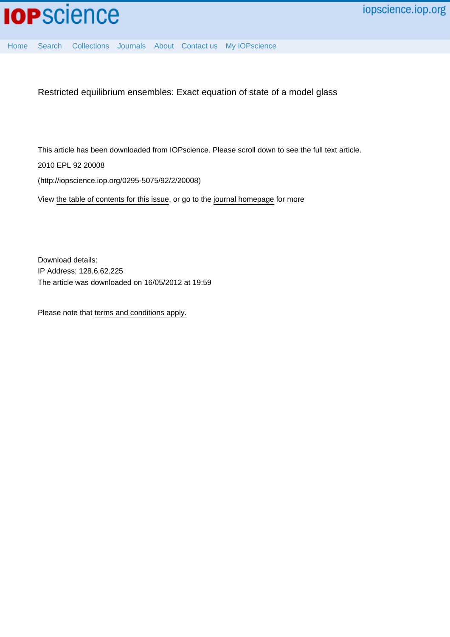

[Home](http://iopscience.iop.org/) [Search](http://iopscience.iop.org/search) [Collections](http://iopscience.iop.org/collections) [Journals](http://iopscience.iop.org/journals) [About](http://iopscience.iop.org/page/aboutioppublishing) [Contact us](http://iopscience.iop.org/contact) [My IOPscience](http://iopscience.iop.org/myiopscience)

Restricted equilibrium ensembles: Exact equation of state of a model glass

This article has been downloaded from IOPscience. Please scroll down to see the full text article.

2010 EPL 92 20008

(http://iopscience.iop.org/0295-5075/92/2/20008)

View [the table of contents for this issue](http://iopscience.iop.org/0295-5075/92/2), or go to the [journal homepage](http://iopscience.iop.org/0295-5075) for more

Download details: IP Address: 128.6.62.225 The article was downloaded on 16/05/2012 at 19:59

Please note that [terms and conditions apply.](http://iopscience.iop.org/page/terms)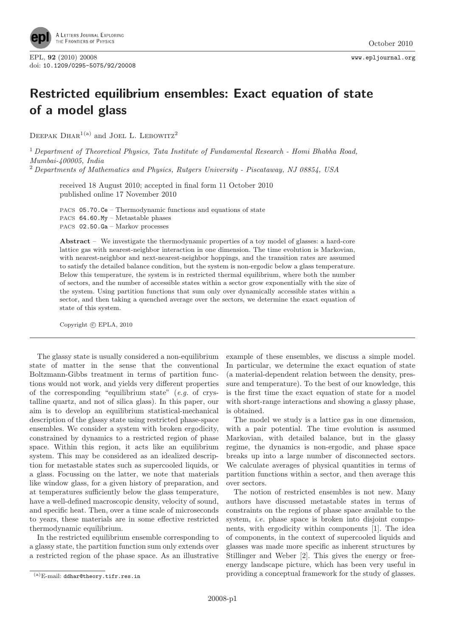

EPL, <sup>92</sup> (2010) 20008 www.epljournal.org doi: 10.1209/0295-5075/92/20008

## Restricted equilibrium ensembles: Exact equation of state of a model glass

DEEPAK DHAR<sup>1(a)</sup> and JOEL L. LEBOWITZ<sup>2</sup>

<sup>1</sup> Department of Theoretical Physics, Tata Institute of Fundamental Research - Homi Bhabha Road, Mumbai-400005, India

<sup>2</sup> Departments of Mathematics and Physics, Rutgers University - Piscataway, NJ 08854, USA

received 18 August 2010; accepted in final form 11 October 2010 published online 17 November 2010

PACS 05.70.Ce – Thermodynamic functions and equations of state PACS 64.60.My – Metastable phases PACS 02.50.Ga – Markov processes

Abstract – We investigate the thermodynamic properties of a toy model of glasses: a hard-core lattice gas with nearest-neighbor interaction in one dimension. The time evolution is Markovian, with nearest-neighbor and next-nearest-neighbor hoppings, and the transition rates are assumed to satisfy the detailed balance condition, but the system is non-ergodic below a glass temperature. Below this temperature, the system is in restricted thermal equilibrium, where both the number of sectors, and the number of accessible states within a sector grow exponentially with the size of the system. Using partition functions that sum only over dynamically accessible states within a sector, and then taking a quenched average over the sectors, we determine the exact equation of state of this system.

Copyright  $\odot$  EPLA, 2010

The glassy state is usually considered a non-equilibrium state of matter in the sense that the conventional Boltzmann-Gibbs treatment in terms of partition functions would not work, and yields very different properties of the corresponding "equilibrium state" (e.g. of crystalline quartz, and not of silica glass). In this paper, our aim is to develop an equilibrium statistical-mechanical description of the glassy state using restricted phase-space ensembles. We consider a system with broken ergodicity, constrained by dynamics to a restricted region of phase space. Within this region, it acts like an equilibrium system. This may be considered as an idealized description for metastable states such as supercooled liquids, or a glass. Focussing on the latter, we note that materials like window glass, for a given history of preparation, and at temperatures sufficiently below the glass temperature, have a well-defined macroscopic density, velocity of sound, and specific heat. Then, over a time scale of microseconds to years, these materials are in some effective restricted thermodynamic equilibrium.

In the restricted equilibrium ensemble corresponding to a glassy state, the partition function sum only extends over a restricted region of the phase space. As an illustrative

example of these ensembles, we discuss a simple model. In particular, we determine the exact equation of state (a material-dependent relation between the density, pressure and temperature). To the best of our knowledge, this is the first time the exact equation of state for a model with short-range interactions and showing a glassy phase, is obtained.

The model we study is a lattice gas in one dimension, with a pair potential. The time evolution is assumed Markovian, with detailed balance, but in the glassy regime, the dynamics is non-ergodic, and phase space breaks up into a large number of disconnected sectors. We calculate averages of physical quantities in terms of partition functions within a sector, and then average this over sectors.

The notion of restricted ensembles is not new. Many authors have discussed metastable states in terms of constraints on the regions of phase space available to the system, *i.e.* phase space is broken into disjoint components, with ergodicity within components [1]. The idea of components, in the context of supercooled liquids and glasses was made more specific as inherent structures by Stillinger and Weber [2]. This gives the energy or freeenergy landscape picture, which has been very useful in providing a conceptual framework for the study of glasses.

 $(a)$ E-mail: ddhar@theory.tifr.res.in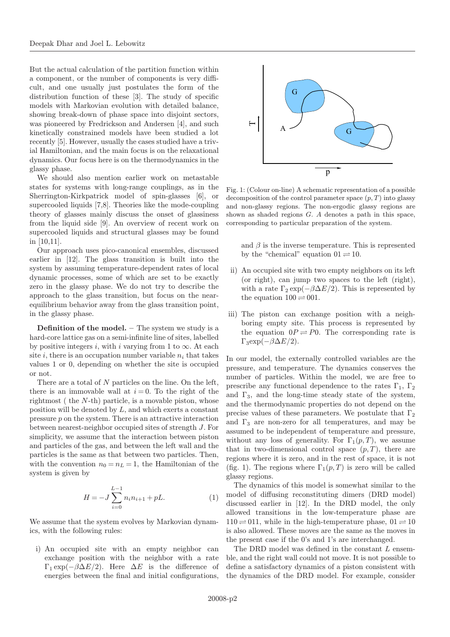But the actual calculation of the partition function within a component, or the number of components is very difficult, and one usually just postulates the form of the distribution function of these [3]. The study of specific models with Markovian evolution with detailed balance, showing break-down of phase space into disjoint sectors, was pioneered by Fredrickson and Andersen [4], and such kinetically constrained models have been studied a lot recently [5]. However, usually the cases studied have a trivial Hamiltonian, and the main focus is on the relaxational dynamics. Our focus here is on the thermodynamics in the glassy phase.

We should also mention earlier work on metastable states for systems with long-range couplings, as in the Sherrington-Kirkpatrick model of spin-glasses [6], or supercooled liquids [7,8]. Theories like the mode-coupling theory of glasses mainly discuss the onset of glassiness from the liquid side [9]. An overview of recent work on supercooled liquids and structural glasses may be found in [10,11].

Our approach uses pico-canonical ensembles, discussed earlier in [12]. The glass transition is built into the system by assuming temperature-dependent rates of local dynamic processes, some of which are set to be exactly zero in the glassy phase. We do not try to describe the approach to the glass transition, but focus on the nearequilibrium behavior away from the glass transition point, in the glassy phase.

Definition of the model. – The system we study is a hard-core lattice gas on a semi-infinite line of sites, labelled by positive integers i, with i varying from 1 to  $\infty$ . At each site i, there is an occupation number variable  $n_i$  that takes values 1 or 0, depending on whether the site is occupied or not.

There are a total of N particles on the line. On the left, there is an immovable wall at  $i = 0$ . To the right of the rightmost ( the N-th) particle, is a movable piston, whose position will be denoted by  $L$ , and which exerts a constant pressure p on the system. There is an attractive interaction between nearest-neighbor occupied sites of strength J. For simplicity, we assume that the interaction between piston and particles of the gas, and between the left wall and the particles is the same as that between two particles. Then, with the convention  $n_0 = n_L = 1$ , the Hamiltonian of the system is given by

$$
H = -J\sum_{i=0}^{L-1} n_i n_{i+1} + pL.
$$
 (1)

We assume that the system evolves by Markovian dynamics, with the following rules:

i) An occupied site with an empty neighbor can exchange position with the neighbor with a rate  $\Gamma_1 \exp(-\beta \Delta E/2)$ . Here  $\Delta E$  is the difference of energies between the final and initial configurations,



Fig. 1: (Colour on-line) A schematic representation of a possible decomposition of the control parameter space  $(p, T)$  into glassy and non-glassy regions. The non-ergodic glassy regions are shown as shaded regions G. A denotes a path in this space, corresponding to particular preparation of the system.

and  $\beta$  is the inverse temperature. This is represented by the "chemical" equation  $01 \rightleftharpoons 10$ .

- ii) An occupied site with two empty neighbors on its left (or right), can jump two spaces to the left (right), with a rate  $\Gamma_2 \exp(-\beta \Delta E/2)$ . This is represented by the equation  $100 \rightleftharpoons 001$ .
- iii) The piston can exchange position with a neighboring empty site. This process is represented by the equation  $0P \rightleftharpoons P0$ . The corresponding rate is  $\Gamma_3 \exp(-\beta \Delta E/2)$ .

In our model, the externally controlled variables are the pressure, and temperature. The dynamics conserves the number of particles. Within the model, we are free to prescribe any functional dependence to the rates  $\Gamma_1$ ,  $\Gamma_2$ and  $\Gamma_3$ , and the long-time steady state of the system, and the thermodynamic properties do not depend on the precise values of these parameters. We postulate that  $\Gamma_2$ and  $\Gamma_3$  are non-zero for all temperatures, and may be assumed to be independent of temperature and pressure, without any loss of generality. For  $\Gamma_1(p,T)$ , we assume that in two-dimensional control space  $(p, T)$ , there are regions where it is zero, and in the rest of space, it is not (fig. 1). The regions where  $\Gamma_1(p,T)$  is zero will be called glassy regions.

The dynamics of this model is somewhat similar to the model of diffusing reconstituting dimers (DRD model) discussed earlier in [12]. In the DRD model, the only allowed transitions in the low-temperature phase are  $110 \rightleftharpoons 011$ , while in the high-temperature phase,  $01 \rightleftharpoons 10$ is also allowed. These moves are the same as the moves in the present case if the 0's and 1's are interchanged.

The DRD model was defined in the constant  $L$  ensemble, and the right wall could not move. It is not possible to define a satisfactory dynamics of a piston consistent with the dynamics of the DRD model. For example, consider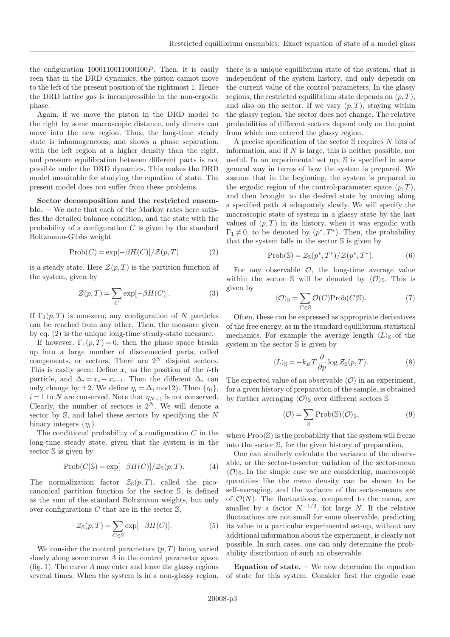the onfiguration 1000110011000100P. Then, it is easily seen that in the DRD dynamics, the piston cannot move to the left of the present position of the rightmost 1. Hence the DRD lattice gas is incompressible in the non-ergodic phase.

Again, if we move the piston in the DRD model to the right by some macroscopic distance, only dimers can move into the new region. Thus, the long-time steady state is inhomogeneous, and shows a phase separation, with the left region at a higher density than the right, and pressure equilibration between different parts is not possible under the DRD dynamics. This makes the DRD model unsuitable for studying the equation of state. The present model does not suffer from these problems.

Sector decomposition and the restricted ensemble. – We note that each of the Markov rates here satisfies the detailed balance condition, and the state with the probability of a configuration  $C$  is given by the standard Boltzmann-Gibbs weight

$$
Prob(C) = exp[-\beta H(C)] \mathcal{Z}(p, T)
$$
 (2)

is a steady state. Here  $\mathcal{Z}(p,T)$  is the partition function of the system, given by

$$
\mathcal{Z}(p,T) = \sum_{C} \exp[-\beta H(C)].
$$
 (3)

If  $\Gamma_1(p,T)$  is non-zero, any configuration of N particles can be reached from any other. Then, the measure given by eq. (2) is the unique long-time steady-state measure.

If however,  $\Gamma_1(p,T) = 0$ , then the phase space breaks up into a large number of disconnected parts, called components, or sectors. There are  $2^N$  disjoint sectors. This is easily seen: Define  $x_i$  as the position of the *i*-th particle, and  $\Delta_i = x_i - x_{i-1}$ . Then the different  $\Delta_i$  can only change by  $\pm 2$ . We define  $\eta_i = \Delta_i \mod 2$ . Then  $\{\eta_i\},\$  $i = 1$  to N are conserved. Note that  $\eta_{N+1}$  is not conserved. Clearly, the number of sectors is  $2^N$ . We will denote a sector by  $S$ , and label these sectors by specifying the  $N$ binary integers  $\{\eta_i\}$ .

The conditional probability of a configuration  $C$  in the long-time steady state, given that the system is in the sector S is given by

$$
Prob(C|\mathbb{S}) = exp[-\beta H(C)] \mathscr{Z}_{\mathbb{S}}(p,T). \tag{4}
$$

The normalization factor  $\mathcal{Z}_{\mathbb{S}}(p,T)$ , called the picocanonical partition function for the sector S, is defined as the sum of the standard Boltzmann weights, but only over configurations  $C$  that are in the sector  $\mathbb{S}$ ,

$$
\mathcal{Z}_{\mathbb{S}}(p,T) = \sum_{C \in \mathbb{S}} \exp[-\beta H(C)].\tag{5}
$$

We consider the control parameters  $(p, T)$  being varied slowly along some curve A in the control parameter space (fig. 1). The curve  $A$  may enter and leave the glassy regions several times. When the system is in a non-glassy region,

there is a unique equilibrium state of the system, that is independent of the system history, and only depends on the current value of the control parameters. In the glassy regions, the restricted equilibrium state depends on  $(p, T)$ , and also on the sector. If we vary  $(p, T)$ , staying within the glassy region, the sector does not change. The relative probabilities of different sectors depend only on the point from which one entered the glassy region.

A precise specification of the sector S requires N bits of information, and if  $N$  is large, this is neither possible, nor useful. In an experimental set up, S is specified in some general way in terms of how the system is prepared. We assume that in the beginning, the system is prepared in the ergodic region of the control-parameter space  $(p, T)$ , and then brought to the desired state by moving along a specified path A adequately slowly. We will specify the macroscopic state of system in a glassy state by the last values of  $(p, T)$  in its history, when it was ergodic with  $\Gamma_1 \neq 0$ , to be denoted by  $(p^*,T^*)$ . Then, the probability that the system falls in the sector S is given by

$$
Prob(S) = \mathcal{Z}_S(p^*, T^*) / \mathcal{Z}(p^*, T^*). \tag{6}
$$

For any observable  $\mathcal{O}$ , the long-time average value within the sector S will be denoted by  $\langle \mathcal{O} \rangle$ <sub>S</sub>. This is given by

$$
\langle \mathcal{O} \rangle_{\mathbb{S}} = \sum_{C \in \mathbb{S}} \mathcal{O}(C) \text{Prob}(C | \mathbb{S}). \tag{7}
$$

Often, these can be expressed as appropriate derivatives of the free energy, as in the standard equilibrium statistical mechanics. For example the average length  $\langle L \rangle_{\rm S}$  of the system in the sector S is given by

$$
\langle L \rangle_{\mathbb{S}} = -k_B T \frac{\partial}{\partial p} \log \mathcal{Z}_{\mathbb{S}}(p, T). \tag{8}
$$

The expected value of an observable  $\langle \mathcal{O} \rangle$  in an experiment, for a given history of preparation of the sample, is obtained by further averaging  $\langle \mathcal{O} \rangle_{\mathbb{S}}$  over different sectors  $\mathbb{S}$ 

$$
\langle \mathcal{O} \rangle = \sum_{\mathbb{S}} \operatorname{Prob}(\mathbb{S}) \langle \mathcal{O} \rangle_{\mathbb{S}},\tag{9}
$$

where  $Prob(S)$  is the probability that the system will freeze into the sector S, for the given history of preparation.

One can similarly calculate the variance of the observable, or the sector-to-sector variation of the sector-mean  $\langle \mathcal{O} \rangle$ <sub>S</sub>. In the simple case we are considering, macroscopic quantities like the mean density can be shown to be self-averaging, and the variance of the sector-means are of  $\mathcal{O}(N)$ . The fluctuations, compared to the mean, are smaller by a factor  $N^{-1/2}$ , for large N. If the relative fluctuations are not small for some observable, predicting its value in a particular experimental set-up, without any additional information about the experiment, is clearly not possible. In such cases, one can only determine the probability distribution of such an observable.

Equation of state. – We now determine the equation of state for this system. Consider first the ergodic case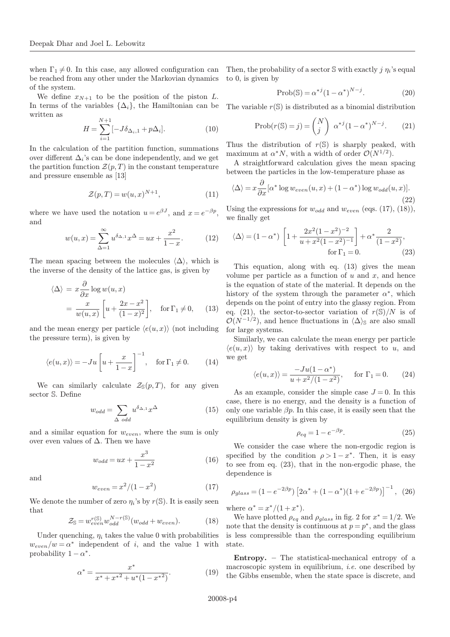when  $\Gamma_1 \neq 0$ . In this case, any allowed configuration can be reached from any other under the Markovian dynamics of the system.

We define  $x_{N+1}$  to be the position of the piston L. In terms of the variables  $\{\Delta_i\}$ , the Hamiltonian can be written as

$$
H = \sum_{i=1}^{N+1} [-J\delta_{\Delta_i,1} + p\Delta_i].
$$
 (10)

In the calculation of the partition function, summations over different  $\Delta_i$ 's can be done independently, and we get the partition function  $\mathcal{Z}(p,T)$  in the constant temperature and pressure ensemble as [13]

$$
\mathcal{Z}(p,T) = w(u,x)^{N+1},\tag{11}
$$

where we have used the notation  $u = e^{\beta J}$ , and  $x = e^{-\beta p}$ , and

$$
w(u, x) = \sum_{\Delta=1}^{\infty} u^{\delta_{\Delta,1}} x^{\Delta} = ux + \frac{x^2}{1 - x}.
$$
 (12)

The mean spacing between the molecules  $\langle \Delta \rangle$ , which is the inverse of the density of the lattice gas, is given by

$$
\langle \Delta \rangle = x \frac{\partial}{\partial x} \log w(u, x)
$$
  
=  $\frac{x}{w(u, x)} \left[ u + \frac{2x - x^2}{(1 - x)^2} \right]$ , for  $\Gamma_1 \neq 0$ , (13)

and the mean energy per particle  $\langle e(u, x) \rangle$  (not including the pressure term), is given by

$$
\langle e(u, x) \rangle = -Ju \left[ u + \frac{x}{1 - x} \right]^{-1}, \quad \text{for } \Gamma_1 \neq 0. \tag{14}
$$

We can similarly calculate  $\mathcal{Z}_{\mathbb{S}}(p,T)$ , for any given sector S. Define

$$
w_{odd} = \sum_{\Delta \ odd} u^{\delta_{\Delta,1}} x^{\Delta} \tag{15}
$$

and a similar equation for  $w_{even}$ , where the sum is only over even values of  $\Delta$ . Then we have

$$
w_{odd} = ux + \frac{x^3}{1 - x^2} \tag{16}
$$

and

$$
w_{even} = x^2/(1-x^2)
$$
 (17)

We denote the number of zero  $\eta_i$ 's by  $r(\mathbb{S})$ . It is easily seen that

$$
\mathcal{Z}_{\mathbb{S}} = w_{even}^{r(\mathbb{S})} w_{odd}^{N-r(\mathbb{S})} (w_{odd} + w_{even}). \tag{18}
$$

Under quenching,  $\eta_i$  takes the value 0 with probabilities  $w_{even}/w = \alpha^*$  independent of i, and the value 1 with probability  $1 - \alpha^*$ .

$$
\alpha^* = \frac{x^*}{x^* + x^{*2} + u^*(1 - x^{*2})}.\tag{19}
$$

Then, the probability of a sector  $\mathcal S$  with exactly j  $\eta_i$ 's equal to 0, is given by

$$
Prob(S) = \alpha^{*j} (1 - \alpha^*)^{N-j}.
$$
 (20)

The variable  $r(\mathbb{S})$  is distributed as a binomial distribution

$$
\text{Prob}(r(\mathbb{S}) = j) = \binom{N}{j} \alpha^{*j} (1 - \alpha^*)^{N-j}.
$$
 (21)

Thus the distribution of  $r(S)$  is sharply peaked, with maximum at  $\alpha^* N$ , with a width of order  $\mathcal{O}(N^{1/2})$ .

A straightforward calculation gives the mean spacing between the particles in the low-temperature phase as

$$
\langle \Delta \rangle = x \frac{\partial}{\partial x} [\alpha^* \log w_{even}(u, x) + (1 - \alpha^*) \log w_{odd}(u, x)].
$$
\n(22)

Using the expressions for  $w_{odd}$  and  $w_{even}$  (eqs. (17), (18)), we finally get

$$
\langle \Delta \rangle = (1 - \alpha^*) \left[ 1 + \frac{2x^2(1 - x^2)^{-2}}{u + x^2(1 - x^2)^{-1}} \right] + \alpha^* \frac{2}{(1 - x^2)},
$$
  
for  $\Gamma_1 = 0.$  (23)

This equation, along with eq. (13) gives the mean volume per particle as a function of  $u$  and  $x$ , and hence is the equation of state of the material. It depends on the history of the system through the parameter  $\alpha^*$ , which depends on the point of entry into the glassy region. From eq. (21), the sector-to-sector variation of  $r(S)/N$  is of  $\mathcal{O}(N^{-1/2})$ , and hence fluctuations in  $\langle \Delta \rangle$  are also small for large systems.

Similarly, we can calculate the mean energy per particle  $\langle e(u, x) \rangle$  by taking derivatives with respect to u, and we get

$$
\langle e(u, x) \rangle = \frac{-Ju(1 - \alpha^*)}{u + x^2/(1 - x^2)}, \quad \text{for } \Gamma_1 = 0.
$$
 (24)

As an example, consider the simple case  $J = 0$ . In this case, there is no energy, and the density is a function of only one variable  $\beta p$ . In this case, it is easily seen that the equilibrium density is given by

$$
\rho_{eq} = 1 - e^{-\beta p}.\tag{25}
$$

We consider the case where the non-ergodic region is specified by the condition  $\rho > 1 - x^*$ . Then, it is easy to see from eq. (23), that in the non-ergodic phase, the dependence is

$$
\rho_{glass} = (1 - e^{-2\beta p}) \left[ 2\alpha^* + (1 - \alpha^*)(1 + e^{-2\beta p}) \right]^{-1}, \tag{26}
$$

where  $\alpha^* = x^*/(1+x^*)$ .

We have plotted  $\rho_{ea}$  and  $\rho_{alass}$  in fig. 2 for  $x^* = 1/2$ . We note that the density is continuous at  $p = p^*$ , and the glass is less compressible than the corresponding equilibrium state.

Entropy. – The statistical-mechanical entropy of a macroscopic system in equilibrium, i.e. one described by the Gibbs ensemble, when the state space is discrete, and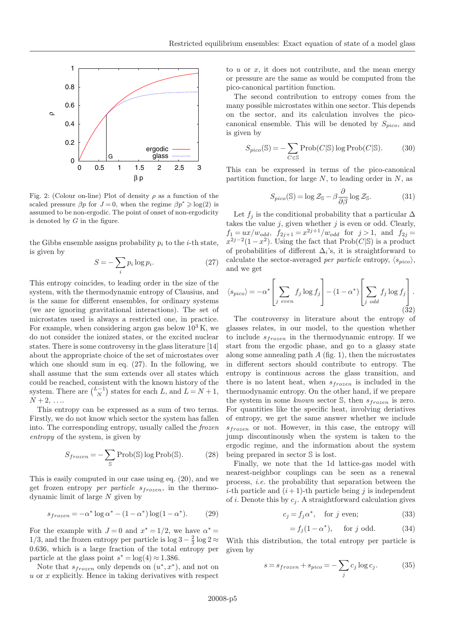

Fig. 2: (Colour on-line) Plot of density  $\rho$  as a function of the scaled pressure  $\beta p$  for  $J = 0$ , when the regime  $\beta p^* \geq \log(2)$  is assumed to be non-ergodic. The point of onset of non-ergodicity is denoted by  $G$  in the figure.

the Gibbs ensemble assigns probability  $p_i$  to the *i*-th state, is given by

$$
S = -\sum_{i} p_i \log p_i. \tag{27}
$$

This entropy coincides, to leading order in the size of the system, with the thermodynamic entropy of Clausius, and is the same for different ensembles, for ordinary systems (we are ignoring gravitational interactions). The set of microstates used is always a restricted one, in practice. For example, when considering argon gas below  $10^3$  K, we do not consider the ionized states, or the excited nuclear states. There is some controversy in the glass literature [14] about the appropriate choice of the set of microstates over which one should sum in eq. (27). In the following, we shall assume that the sum extends over all states which could be reached, consistent with the known history of the system. There are  $\binom{L-1}{N}$  states for each L, and  $L = N + 1$ ,  $N+2, \ldots$ 

This entropy can be expressed as a sum of two terms. Firstly, we do not know which sector the system has fallen into. The corresponding entropy, usually called the frozen entropy of the system, is given by

$$
S_{frozen} = -\sum_{S} \text{Prob}(S) \log \text{Prob}(S). \tag{28}
$$

This is easily computed in our case using eq. (20), and we get frozen entropy *per particle*  $s_{frozen}$ , in the thermodynamic limit of large N given by

$$
s_{frozen} = -\alpha^* \log \alpha^* - (1 - \alpha^*) \log (1 - \alpha^*). \tag{29}
$$

For the example with  $J=0$  and  $x^* = 1/2$ , we have  $\alpha^* =$ 1/3, and the frozen entropy per particle is  $\log 3 - \frac{2}{3} \log 2 \approx$ 0.636, which is a large fraction of the total entropy per particle at the glass point  $s^* = \log(4) \approx 1.386$ .

Note that  $s_{frozen}$  only depends on  $(u^*, x^*)$ , and not on  $u$  or  $x$  explicitly. Hence in taking derivatives with respect

to  $u$  or  $x$ , it does not contribute, and the mean energy or pressure are the same as would be computed from the pico-canonical partition function.

The second contribution to entropy comes from the many possible microstates within one sector. This depends on the sector, and its calculation involves the picocanonical ensemble. This will be denoted by  $S_{pico}$ , and is given by

$$
S_{pico}(\mathbb{S}) = -\sum_{C \in \mathbb{S}} \operatorname{Prob}(C|\mathbb{S}) \log \operatorname{Prob}(C|\mathbb{S}). \tag{30}
$$

This can be expressed in terms of the pico-canonical partition function, for large  $N$ , to leading order in  $N$ , as

$$
S_{pico}(\mathbb{S}) = \log \mathcal{Z}_{\mathbb{S}} - \beta \frac{\partial}{\partial \beta} \log \mathcal{Z}_{\mathbb{S}}.
$$
 (31)

Let  $f_j$  is the conditional probability that a particular  $\Delta$ takes the value  $j$ , given whether  $j$  is even or odd. Clearly,  $f_1 = ux/w_{odd}, f_{2j+1} = x^{2j+1}/w_{odd}$  for  $j > 1$ , and  $f_{2j} =$  $x^{2j-2}(1-x^2)$ . Using the fact that Prob(C|S) is a product of probabilities of different  $\Delta_i$ 's, it is straightforward to calculate the sector-averaged per particle entropy,  $\langle s_{pico} \rangle$ , and we get

$$
\langle s_{pico} \rangle = -\alpha^* \left[ \sum_{j \ even} f_j \log f_j \right] - (1 - \alpha^*) \left[ \sum_{j \ odd} f_j \log f_j \right]. \tag{32}
$$

The controversy in literature about the entropy of glasses relates, in our model, to the question whether to include  $s_{frozen}$  in the thermodynamic entropy. If we start from the ergodic phase, and go to a glassy state along some annealing path  $A$  (fig. 1), then the microstates in different sectors should contribute to entropy. The entropy is continuous across the glass transition, and there is no latent heat, when  $s_{frozen}$  is included in the thermodynamic entropy. On the other hand, if we prepare the system in some known sector  $\mathbb{S}$ , then  $s_{frozen}$  is zero. For quantities like the specific heat, involving deriatives of entropy, we get the same answer whether we include  $s_{frozen}$  or not. However, in this case, the entropy will jump discontinously when the system is taken to the ergodic regime, and the information about the system being prepared in sector S is lost.

Finally, we note that the 1d lattice-gas model with nearest-neighbor couplings can be seen as a renewal process, i.e. the probability that separation between the *i*-th particle and  $(i + 1)$ -th particle being j is independent of i. Denote this by  $c_i$ . A straightforward calculation gives

$$
c_j = f_j \alpha^*, \quad \text{for } j \text{ even}; \tag{33}
$$

$$
= f_j(1 - \alpha^*), \quad \text{for } j \text{ odd.} \tag{34}
$$

With this distribution, the total entropy per particle is given by

$$
s = s_{frozen} + s_{pico} = -\sum_{j} c_j \log c_j. \tag{35}
$$